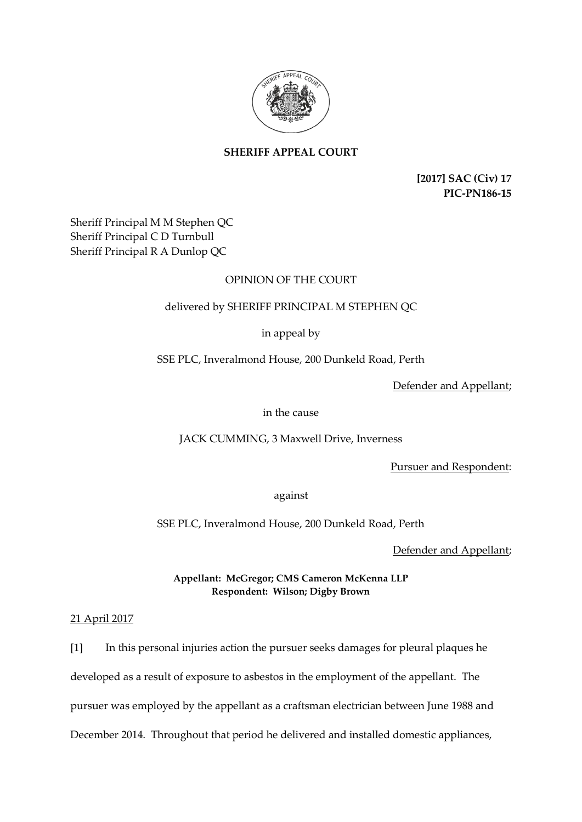

# **SHERIFF APPEAL COURT**

**[2017] SAC (Civ) 17 PIC-PN186-15**

Sheriff Principal M M Stephen QC Sheriff Principal C D Turnbull Sheriff Principal R A Dunlop QC

# OPINION OF THE COURT

# delivered by SHERIFF PRINCIPAL M STEPHEN QC

in appeal by

SSE PLC, Inveralmond House, 200 Dunkeld Road, Perth

Defender and Appellant;

in the cause

JACK CUMMING, 3 Maxwell Drive, Inverness

Pursuer and Respondent:

against

SSE PLC, Inveralmond House, 200 Dunkeld Road, Perth

Defender and Appellant;

**Appellant: McGregor; CMS Cameron McKenna LLP Respondent: Wilson; Digby Brown**

21 April 2017

[1] In this personal injuries action the pursuer seeks damages for pleural plaques he developed as a result of exposure to asbestos in the employment of the appellant. The pursuer was employed by the appellant as a craftsman electrician between June 1988 and December 2014. Throughout that period he delivered and installed domestic appliances,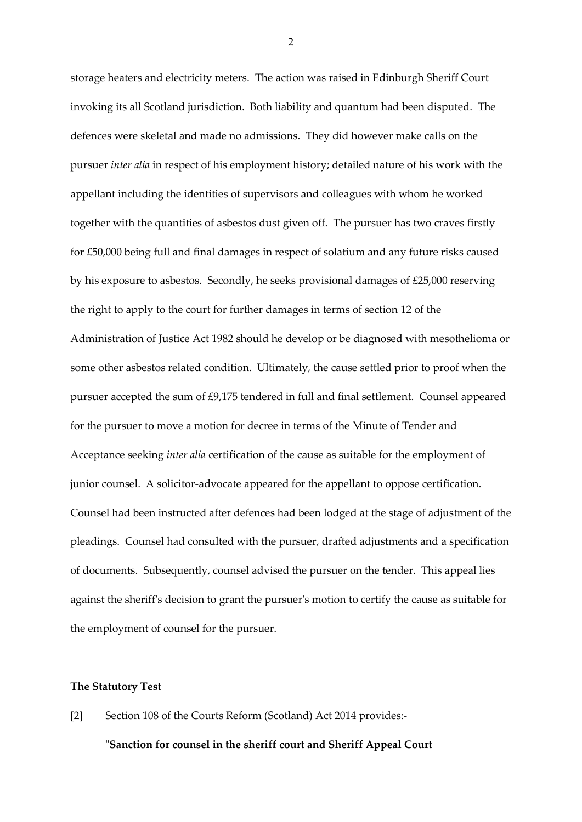storage heaters and electricity meters. The action was raised in Edinburgh Sheriff Court invoking its all Scotland jurisdiction. Both liability and quantum had been disputed. The defences were skeletal and made no admissions. They did however make calls on the pursuer *inter alia* in respect of his employment history; detailed nature of his work with the appellant including the identities of supervisors and colleagues with whom he worked together with the quantities of asbestos dust given off. The pursuer has two craves firstly for £50,000 being full and final damages in respect of solatium and any future risks caused by his exposure to asbestos. Secondly, he seeks provisional damages of £25,000 reserving the right to apply to the court for further damages in terms of section 12 of the Administration of Justice Act 1982 should he develop or be diagnosed with mesothelioma or some other asbestos related condition. Ultimately, the cause settled prior to proof when the pursuer accepted the sum of £9,175 tendered in full and final settlement. Counsel appeared for the pursuer to move a motion for decree in terms of the Minute of Tender and Acceptance seeking *inter alia* certification of the cause as suitable for the employment of junior counsel. A solicitor-advocate appeared for the appellant to oppose certification. Counsel had been instructed after defences had been lodged at the stage of adjustment of the pleadings. Counsel had consulted with the pursuer, drafted adjustments and a specification of documents. Subsequently, counsel advised the pursuer on the tender. This appeal lies against the sheriff's decision to grant the pursuer's motion to certify the cause as suitable for the employment of counsel for the pursuer.

### **The Statutory Test**

[2] Section 108 of the Courts Reform (Scotland) Act 2014 provides:-

### "**Sanction for counsel in the sheriff court and Sheriff Appeal Court**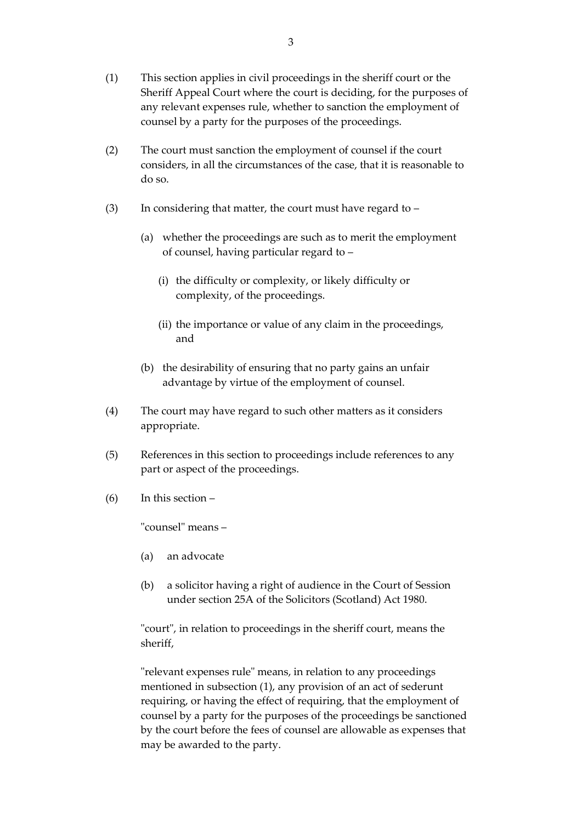- (1) This section applies in civil proceedings in the sheriff court or the Sheriff Appeal Court where the court is deciding, for the purposes of any relevant expenses rule, whether to sanction the employment of counsel by a party for the purposes of the proceedings.
- (2) The court must sanction the employment of counsel if the court considers, in all the circumstances of the case, that it is reasonable to do so.
- (3) In considering that matter, the court must have regard to  $-$ 
	- (a) whether the proceedings are such as to merit the employment of counsel, having particular regard to –
		- (i) the difficulty or complexity, or likely difficulty or complexity, of the proceedings.
		- (ii) the importance or value of any claim in the proceedings, and
	- (b) the desirability of ensuring that no party gains an unfair advantage by virtue of the employment of counsel.
- (4) The court may have regard to such other matters as it considers appropriate.
- (5) References in this section to proceedings include references to any part or aspect of the proceedings.
- (6) In this section –

"counsel" means –

- (a) an advocate
- (b) a solicitor having a right of audience in the Court of Session under section 25A of the Solicitors (Scotland) Act 1980.

"court", in relation to proceedings in the sheriff court, means the sheriff,

"relevant expenses rule" means, in relation to any proceedings mentioned in subsection (1), any provision of an act of sederunt requiring, or having the effect of requiring, that the employment of counsel by a party for the purposes of the proceedings be sanctioned by the court before the fees of counsel are allowable as expenses that may be awarded to the party.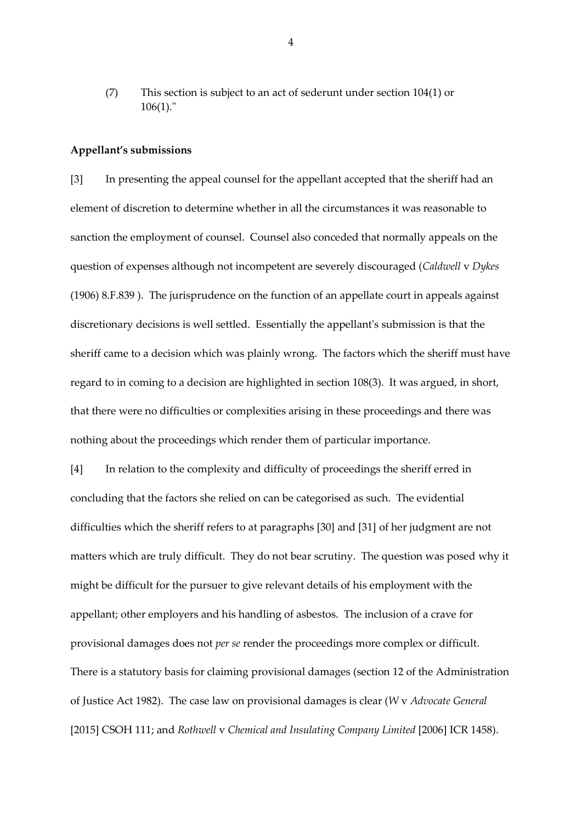(7) This section is subject to an act of sederunt under section 104(1) or 106(1)."

#### **Appellant's submissions**

[3] In presenting the appeal counsel for the appellant accepted that the sheriff had an element of discretion to determine whether in all the circumstances it was reasonable to sanction the employment of counsel. Counsel also conceded that normally appeals on the question of expenses although not incompetent are severely discouraged (*Caldwell* v *Dykes* (1906) 8.F.839 ). The jurisprudence on the function of an appellate court in appeals against discretionary decisions is well settled. Essentially the appellant's submission is that the sheriff came to a decision which was plainly wrong. The factors which the sheriff must have regard to in coming to a decision are highlighted in section 108(3). It was argued, in short, that there were no difficulties or complexities arising in these proceedings and there was nothing about the proceedings which render them of particular importance.

[4] In relation to the complexity and difficulty of proceedings the sheriff erred in concluding that the factors she relied on can be categorised as such. The evidential difficulties which the sheriff refers to at paragraphs [30] and [31] of her judgment are not matters which are truly difficult. They do not bear scrutiny. The question was posed why it might be difficult for the pursuer to give relevant details of his employment with the appellant; other employers and his handling of asbestos. The inclusion of a crave for provisional damages does not *per se* render the proceedings more complex or difficult. There is a statutory basis for claiming provisional damages (section 12 of the Administration of Justice Act 1982). The case law on provisional damages is clear (*W* v *Advocate General* [2015] CSOH 111; and *Rothwell* v *Chemical and Insulating Company Limited* [2006] ICR 1458).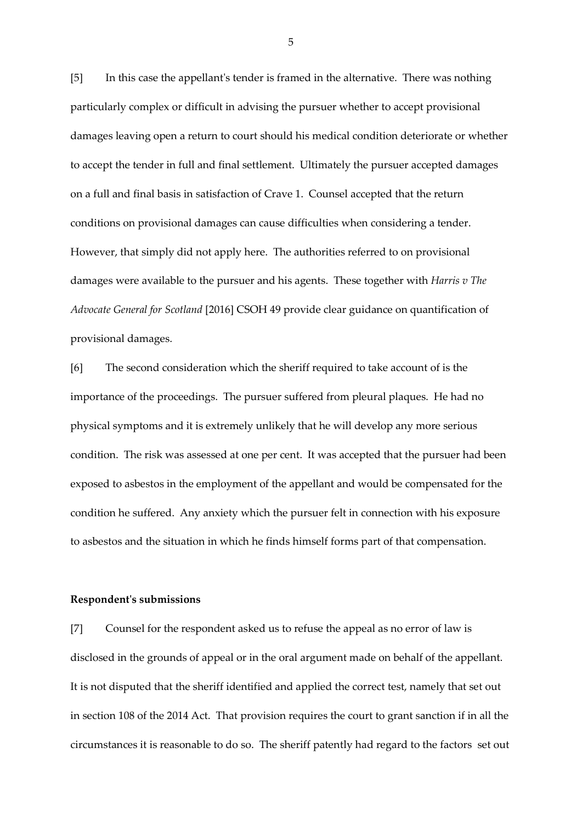[5] In this case the appellant's tender is framed in the alternative. There was nothing particularly complex or difficult in advising the pursuer whether to accept provisional damages leaving open a return to court should his medical condition deteriorate or whether to accept the tender in full and final settlement. Ultimately the pursuer accepted damages on a full and final basis in satisfaction of Crave 1. Counsel accepted that the return conditions on provisional damages can cause difficulties when considering a tender. However, that simply did not apply here. The authorities referred to on provisional damages were available to the pursuer and his agents. These together with *Harris v The Advocate General for Scotland* [2016] CSOH 49 provide clear guidance on quantification of provisional damages.

[6] The second consideration which the sheriff required to take account of is the importance of the proceedings. The pursuer suffered from pleural plaques. He had no physical symptoms and it is extremely unlikely that he will develop any more serious condition. The risk was assessed at one per cent. It was accepted that the pursuer had been exposed to asbestos in the employment of the appellant and would be compensated for the condition he suffered. Any anxiety which the pursuer felt in connection with his exposure to asbestos and the situation in which he finds himself forms part of that compensation.

#### **Respondent's submissions**

[7] Counsel for the respondent asked us to refuse the appeal as no error of law is disclosed in the grounds of appeal or in the oral argument made on behalf of the appellant. It is not disputed that the sheriff identified and applied the correct test, namely that set out in section 108 of the 2014 Act. That provision requires the court to grant sanction if in all the circumstances it is reasonable to do so. The sheriff patently had regard to the factors set out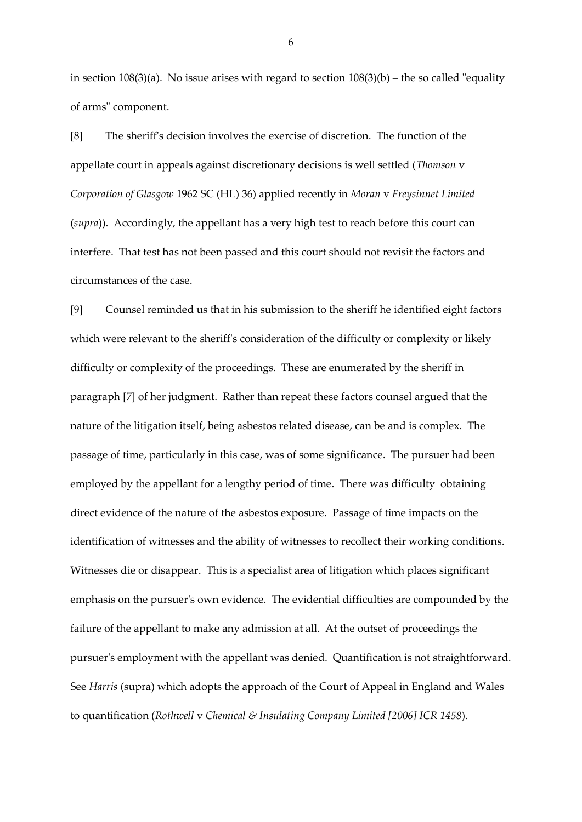in section  $108(3)(a)$ . No issue arises with regard to section  $108(3)(b)$  – the so called "equality of arms" component.

[8] The sheriff's decision involves the exercise of discretion. The function of the appellate court in appeals against discretionary decisions is well settled (*Thomson* v *Corporation of Glasgow* 1962 SC (HL) 36) applied recently in *Moran* v *Freysinnet Limited* (*supra*)). Accordingly, the appellant has a very high test to reach before this court can interfere. That test has not been passed and this court should not revisit the factors and circumstances of the case.

[9] Counsel reminded us that in his submission to the sheriff he identified eight factors which were relevant to the sheriff's consideration of the difficulty or complexity or likely difficulty or complexity of the proceedings. These are enumerated by the sheriff in paragraph [7] of her judgment. Rather than repeat these factors counsel argued that the nature of the litigation itself, being asbestos related disease, can be and is complex. The passage of time, particularly in this case, was of some significance. The pursuer had been employed by the appellant for a lengthy period of time. There was difficulty obtaining direct evidence of the nature of the asbestos exposure. Passage of time impacts on the identification of witnesses and the ability of witnesses to recollect their working conditions. Witnesses die or disappear. This is a specialist area of litigation which places significant emphasis on the pursuer's own evidence. The evidential difficulties are compounded by the failure of the appellant to make any admission at all. At the outset of proceedings the pursuer's employment with the appellant was denied. Quantification is not straightforward. See *Harris* (supra) which adopts the approach of the Court of Appeal in England and Wales to quantification (*Rothwell* v *Chemical & Insulating Company Limited [2006] ICR 1458*).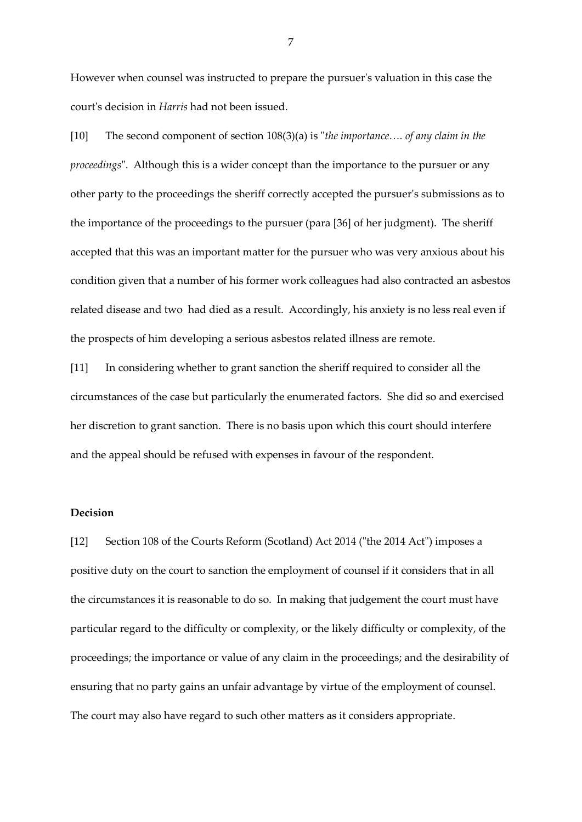However when counsel was instructed to prepare the pursuer's valuation in this case the court's decision in *Harris* had not been issued.

[10] The second component of section 108(3)(a) is "*the importance…. of any claim in the proceedings*". Although this is a wider concept than the importance to the pursuer or any other party to the proceedings the sheriff correctly accepted the pursuer's submissions as to the importance of the proceedings to the pursuer (para [36] of her judgment). The sheriff accepted that this was an important matter for the pursuer who was very anxious about his condition given that a number of his former work colleagues had also contracted an asbestos related disease and two had died as a result. Accordingly, his anxiety is no less real even if the prospects of him developing a serious asbestos related illness are remote.

[11] In considering whether to grant sanction the sheriff required to consider all the circumstances of the case but particularly the enumerated factors. She did so and exercised her discretion to grant sanction. There is no basis upon which this court should interfere and the appeal should be refused with expenses in favour of the respondent.

### **Decision**

[12] Section 108 of the Courts Reform (Scotland) Act 2014 ("the 2014 Act") imposes a positive duty on the court to sanction the employment of counsel if it considers that in all the circumstances it is reasonable to do so. In making that judgement the court must have particular regard to the difficulty or complexity, or the likely difficulty or complexity, of the proceedings; the importance or value of any claim in the proceedings; and the desirability of ensuring that no party gains an unfair advantage by virtue of the employment of counsel. The court may also have regard to such other matters as it considers appropriate.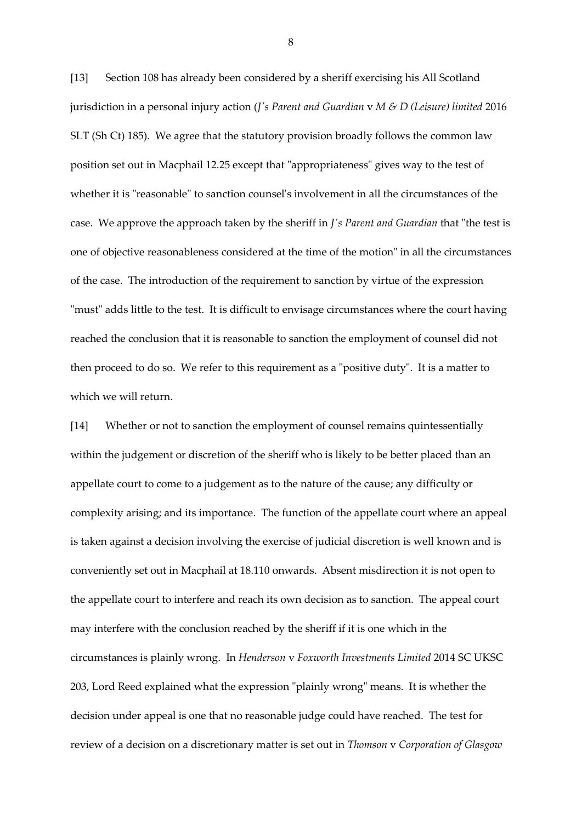[13] Section 108 has already been considered by a sheriff exercising his All Scotland jurisdiction in a personal injury action (*J's Parent and Guardian* v *M & D (Leisure) limited* 2016 SLT (Sh Ct) 185). We agree that the statutory provision broadly follows the common law position set out in Macphail 12.25 except that "appropriateness" gives way to the test of whether it is "reasonable" to sanction counsel's involvement in all the circumstances of the case. We approve the approach taken by the sheriff in *J's Parent and Guardian* that "the test is one of objective reasonableness considered at the time of the motion" in all the circumstances of the case. The introduction of the requirement to sanction by virtue of the expression "must" adds little to the test. It is difficult to envisage circumstances where the court having reached the conclusion that it is reasonable to sanction the employment of counsel did not then proceed to do so. We refer to this requirement as a "positive duty". It is a matter to which we will return.

[14] Whether or not to sanction the employment of counsel remains quintessentially within the judgement or discretion of the sheriff who is likely to be better placed than an appellate court to come to a judgement as to the nature of the cause; any difficulty or complexity arising; and its importance. The function of the appellate court where an appeal is taken against a decision involving the exercise of judicial discretion is well known and is conveniently set out in Macphail at 18.110 onwards. Absent misdirection it is not open to the appellate court to interfere and reach its own decision as to sanction. The appeal court may interfere with the conclusion reached by the sheriff if it is one which in the circumstances is plainly wrong. In *Henderson* v *Foxworth Investments Limited* 2014 SC UKSC 203, Lord Reed explained what the expression "plainly wrong" means. It is whether the decision under appeal is one that no reasonable judge could have reached. The test for review of a decision on a discretionary matter is set out in *Thomson* v *Corporation of Glasgow*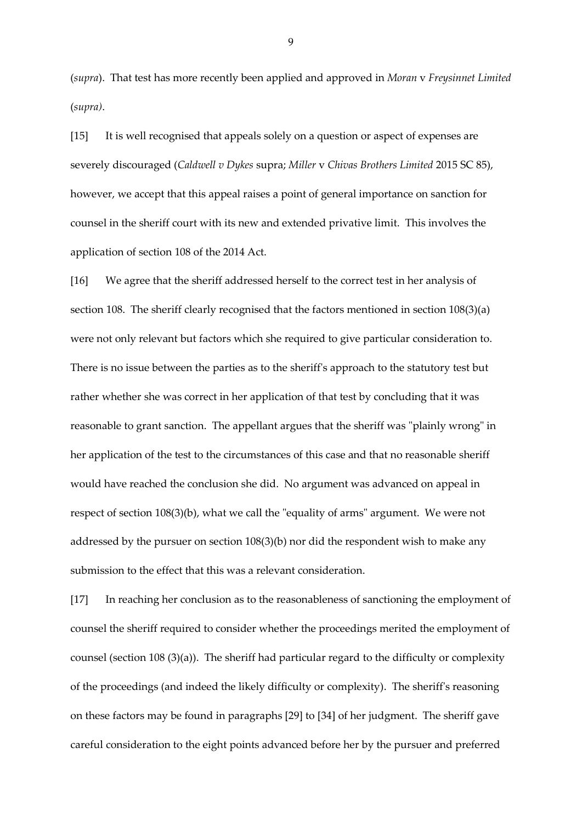(*supra*). That test has more recently been applied and approved in *Moran* v *Freysinnet Limited* (*supra)*.

[15] It is well recognised that appeals solely on a question or aspect of expenses are severely discouraged (*Caldwell v Dykes* supra; *Miller* v *Chivas Brothers Limited* 2015 SC 85), however, we accept that this appeal raises a point of general importance on sanction for counsel in the sheriff court with its new and extended privative limit. This involves the application of section 108 of the 2014 Act.

[16] We agree that the sheriff addressed herself to the correct test in her analysis of section 108. The sheriff clearly recognised that the factors mentioned in section 108(3)(a) were not only relevant but factors which she required to give particular consideration to. There is no issue between the parties as to the sheriff's approach to the statutory test but rather whether she was correct in her application of that test by concluding that it was reasonable to grant sanction. The appellant argues that the sheriff was "plainly wrong" in her application of the test to the circumstances of this case and that no reasonable sheriff would have reached the conclusion she did. No argument was advanced on appeal in respect of section 108(3)(b), what we call the "equality of arms" argument. We were not addressed by the pursuer on section 108(3)(b) nor did the respondent wish to make any submission to the effect that this was a relevant consideration.

[17] In reaching her conclusion as to the reasonableness of sanctioning the employment of counsel the sheriff required to consider whether the proceedings merited the employment of counsel (section 108 (3)(a)). The sheriff had particular regard to the difficulty or complexity of the proceedings (and indeed the likely difficulty or complexity). The sheriff's reasoning on these factors may be found in paragraphs [29] to [34] of her judgment. The sheriff gave careful consideration to the eight points advanced before her by the pursuer and preferred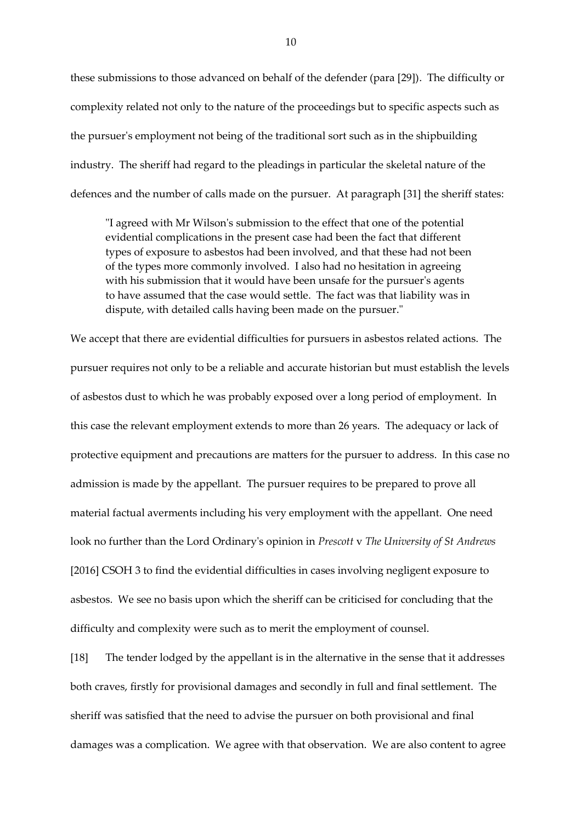these submissions to those advanced on behalf of the defender (para [29]). The difficulty or complexity related not only to the nature of the proceedings but to specific aspects such as the pursuer's employment not being of the traditional sort such as in the shipbuilding industry. The sheriff had regard to the pleadings in particular the skeletal nature of the defences and the number of calls made on the pursuer. At paragraph [31] the sheriff states:

"I agreed with Mr Wilson's submission to the effect that one of the potential evidential complications in the present case had been the fact that different types of exposure to asbestos had been involved, and that these had not been of the types more commonly involved. I also had no hesitation in agreeing with his submission that it would have been unsafe for the pursuer's agents to have assumed that the case would settle. The fact was that liability was in dispute, with detailed calls having been made on the pursuer."

We accept that there are evidential difficulties for pursuers in asbestos related actions. The pursuer requires not only to be a reliable and accurate historian but must establish the levels of asbestos dust to which he was probably exposed over a long period of employment. In this case the relevant employment extends to more than 26 years. The adequacy or lack of protective equipment and precautions are matters for the pursuer to address. In this case no admission is made by the appellant. The pursuer requires to be prepared to prove all material factual averments including his very employment with the appellant. One need look no further than the Lord Ordinary's opinion in *Prescott* v *The University of St Andrews* [2016] CSOH 3 to find the evidential difficulties in cases involving negligent exposure to asbestos. We see no basis upon which the sheriff can be criticised for concluding that the difficulty and complexity were such as to merit the employment of counsel.

[18] The tender lodged by the appellant is in the alternative in the sense that it addresses both craves, firstly for provisional damages and secondly in full and final settlement. The sheriff was satisfied that the need to advise the pursuer on both provisional and final damages was a complication. We agree with that observation. We are also content to agree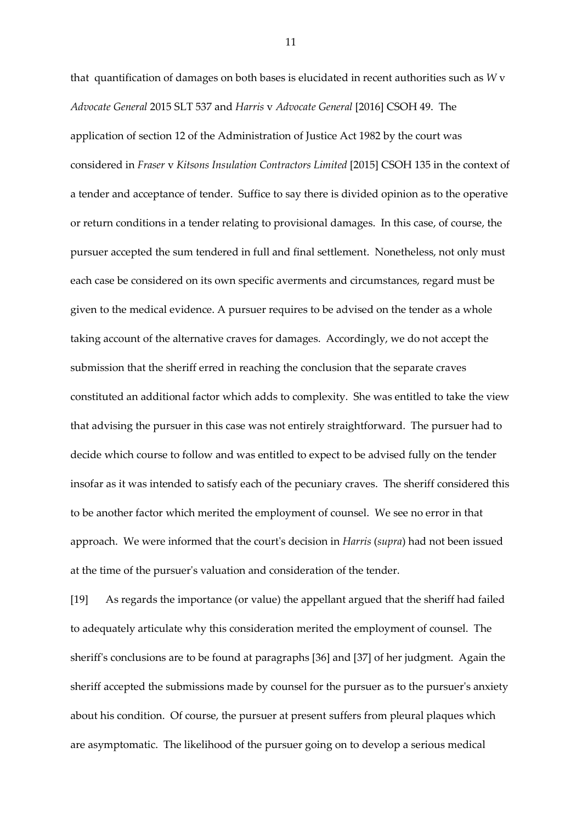that quantification of damages on both bases is elucidated in recent authorities such as *W* v *Advocate General* 2015 SLT 537 and *Harris* v *Advocate General* [2016] CSOH 49. The application of section 12 of the Administration of Justice Act 1982 by the court was considered in *Fraser* v *Kitsons Insulation Contractors Limited* [2015] CSOH 135 in the context of a tender and acceptance of tender. Suffice to say there is divided opinion as to the operative or return conditions in a tender relating to provisional damages. In this case, of course, the pursuer accepted the sum tendered in full and final settlement. Nonetheless, not only must each case be considered on its own specific averments and circumstances, regard must be given to the medical evidence. A pursuer requires to be advised on the tender as a whole taking account of the alternative craves for damages. Accordingly, we do not accept the submission that the sheriff erred in reaching the conclusion that the separate craves constituted an additional factor which adds to complexity. She was entitled to take the view that advising the pursuer in this case was not entirely straightforward. The pursuer had to decide which course to follow and was entitled to expect to be advised fully on the tender insofar as it was intended to satisfy each of the pecuniary craves. The sheriff considered this to be another factor which merited the employment of counsel. We see no error in that approach. We were informed that the court's decision in *Harris* (*supra*) had not been issued at the time of the pursuer's valuation and consideration of the tender.

[19] As regards the importance (or value) the appellant argued that the sheriff had failed to adequately articulate why this consideration merited the employment of counsel. The sheriff's conclusions are to be found at paragraphs [36] and [37] of her judgment. Again the sheriff accepted the submissions made by counsel for the pursuer as to the pursuer's anxiety about his condition. Of course, the pursuer at present suffers from pleural plaques which are asymptomatic. The likelihood of the pursuer going on to develop a serious medical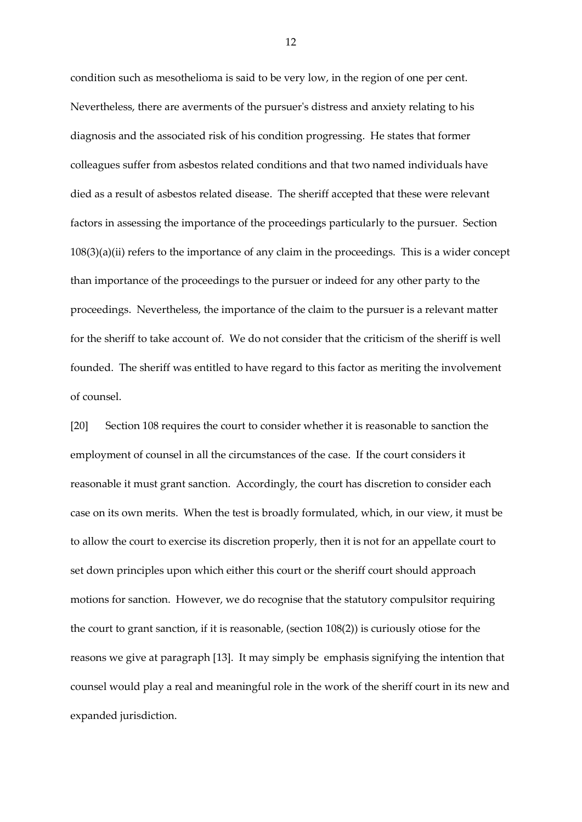condition such as mesothelioma is said to be very low, in the region of one per cent. Nevertheless, there are averments of the pursuer's distress and anxiety relating to his diagnosis and the associated risk of his condition progressing. He states that former colleagues suffer from asbestos related conditions and that two named individuals have died as a result of asbestos related disease. The sheriff accepted that these were relevant factors in assessing the importance of the proceedings particularly to the pursuer. Section 108(3)(a)(ii) refers to the importance of any claim in the proceedings. This is a wider concept than importance of the proceedings to the pursuer or indeed for any other party to the proceedings. Nevertheless, the importance of the claim to the pursuer is a relevant matter for the sheriff to take account of. We do not consider that the criticism of the sheriff is well founded. The sheriff was entitled to have regard to this factor as meriting the involvement of counsel.

[20] Section 108 requires the court to consider whether it is reasonable to sanction the employment of counsel in all the circumstances of the case. If the court considers it reasonable it must grant sanction. Accordingly, the court has discretion to consider each case on its own merits. When the test is broadly formulated, which, in our view, it must be to allow the court to exercise its discretion properly, then it is not for an appellate court to set down principles upon which either this court or the sheriff court should approach motions for sanction. However, we do recognise that the statutory compulsitor requiring the court to grant sanction, if it is reasonable, (section 108(2)) is curiously otiose for the reasons we give at paragraph [13]. It may simply be emphasis signifying the intention that counsel would play a real and meaningful role in the work of the sheriff court in its new and expanded jurisdiction.